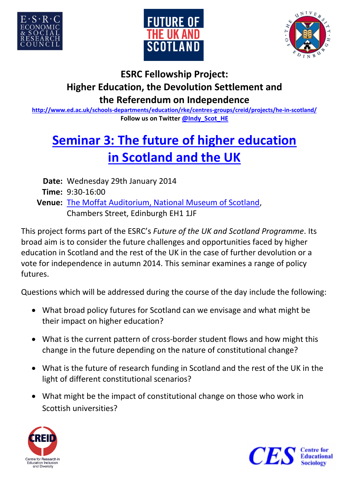





## **ESRC Fellowship Project: Higher Education, the Devolution Settlement and the Referendum on Independence**

**<http://www.ed.ac.uk/schools-departments/education/rke/centres-groups/creid/projects/he-in-scotland/> Follow us on Twitter [@Indy\\_Scot\\_HE](https://twitter.com/Indy_Scot_HE)**

## **Seminar 3: [The future of higher education](http://www.ed.ac.uk/schools-departments/education/rke/centres-groups/creid/news-events/events-in-2013/esrc-fellowship-seminar) [in Scotland and](http://www.ed.ac.uk/schools-departments/education/rke/centres-groups/creid/news-events/events-in-2013/esrc-fellowship-seminar) the UK**

**Date:** Wednesday 29th January 2014 **Time:** 9:30-16:00 **Venue:** The [Moffat Auditorium, National Museum of Scotland,](http://bit.ly/1b9oBIY) Chambers Street, Edinburgh EH1 1JF

This project forms part of the ESRC's *Future of the UK and Scotland Programme*. Its broad aim is to consider the future challenges and opportunities faced by higher education in Scotland and the rest of the UK in the case of further devolution or a vote for independence in autumn 2014. This seminar examines a range of policy futures.

Questions which will be addressed during the course of the day include the following:

- What broad policy futures for Scotland can we envisage and what might be their impact on higher education?
- What is the current pattern of cross-border student flows and how might this change in the future depending on the nature of constitutional change?
- What is the future of research funding in Scotland and the rest of the UK in the light of different constitutional scenarios?
- What might be the impact of constitutional change on those who work in Scottish universities?